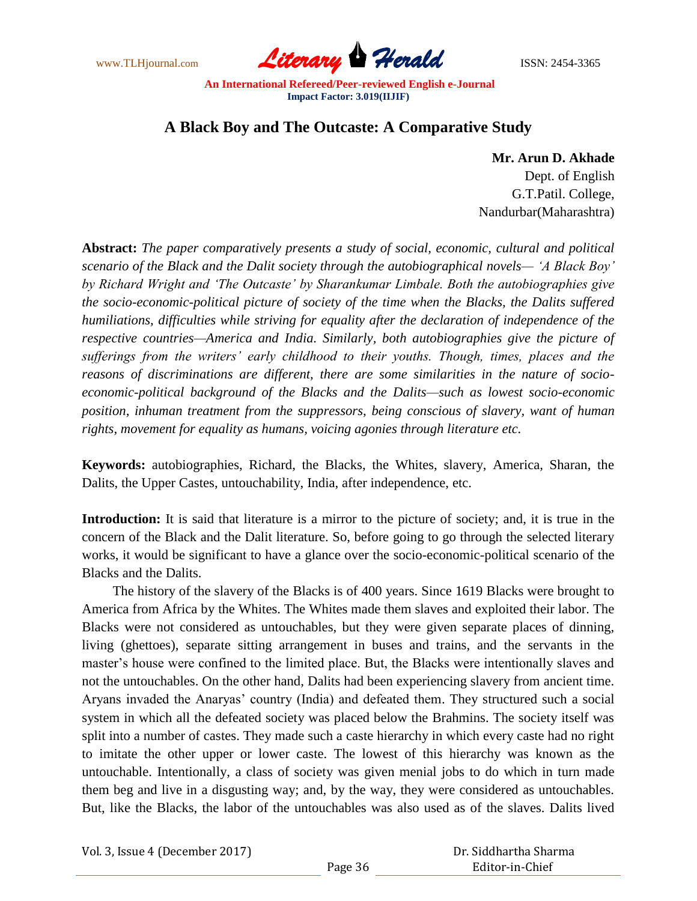www.TLHjournal.com **Literary Herald Herald ISSN: 2454-3365** 

# **A Black Boy and The Outcaste: A Comparative Study**

## **Mr. Arun D. Akhade**

 Dept. of English G.T.Patil. College, Nandurbar(Maharashtra)

**Abstract:** *The paper comparatively presents a study of social, economic, cultural and political scenario of the Black and the Dalit society through the autobiographical novels— "A Black Boy" by Richard Wright and "The Outcaste" by Sharankumar Limbale. Both the autobiographies give the socio-economic-political picture of society of the time when the Blacks, the Dalits suffered humiliations, difficulties while striving for equality after the declaration of independence of the respective countries—America and India. Similarly, both autobiographies give the picture of sufferings from the writers" early childhood to their youths. Though, times, places and the reasons of discriminations are different, there are some similarities in the nature of socioeconomic-political background of the Blacks and the Dalits—such as lowest socio-economic position, inhuman treatment from the suppressors, being conscious of slavery, want of human rights, movement for equality as humans, voicing agonies through literature etc.* 

**Keywords:** autobiographies, Richard, the Blacks, the Whites, slavery, America, Sharan, the Dalits, the Upper Castes, untouchability, India, after independence, etc.

**Introduction:** It is said that literature is a mirror to the picture of society; and, it is true in the concern of the Black and the Dalit literature. So, before going to go through the selected literary works, it would be significant to have a glance over the socio-economic-political scenario of the Blacks and the Dalits.

The history of the slavery of the Blacks is of 400 years. Since 1619 Blacks were brought to America from Africa by the Whites. The Whites made them slaves and exploited their labor. The Blacks were not considered as untouchables, but they were given separate places of dinning, living (ghettoes), separate sitting arrangement in buses and trains, and the servants in the master"s house were confined to the limited place. But, the Blacks were intentionally slaves and not the untouchables. On the other hand, Dalits had been experiencing slavery from ancient time. Aryans invaded the Anaryas' country (India) and defeated them. They structured such a social system in which all the defeated society was placed below the Brahmins. The society itself was split into a number of castes. They made such a caste hierarchy in which every caste had no right to imitate the other upper or lower caste. The lowest of this hierarchy was known as the untouchable. Intentionally, a class of society was given menial jobs to do which in turn made them beg and live in a disgusting way; and, by the way, they were considered as untouchables. But, like the Blacks, the labor of the untouchables was also used as of the slaves. Dalits lived

|  |  | Vol. 3, Issue 4 (December 2017) |  |
|--|--|---------------------------------|--|
|--|--|---------------------------------|--|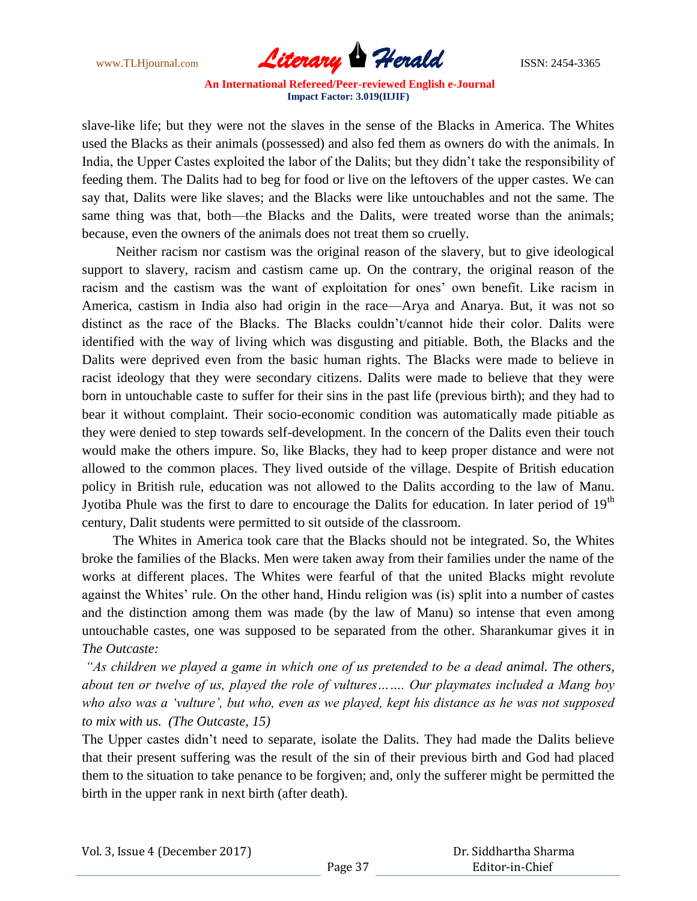

slave-like life; but they were not the slaves in the sense of the Blacks in America. The Whites used the Blacks as their animals (possessed) and also fed them as owners do with the animals. In India, the Upper Castes exploited the labor of the Dalits; but they didn"t take the responsibility of feeding them. The Dalits had to beg for food or live on the leftovers of the upper castes. We can say that, Dalits were like slaves; and the Blacks were like untouchables and not the same. The same thing was that, both—the Blacks and the Dalits, were treated worse than the animals; because, even the owners of the animals does not treat them so cruelly.

 Neither racism nor castism was the original reason of the slavery, but to give ideological support to slavery, racism and castism came up. On the contrary, the original reason of the racism and the castism was the want of exploitation for ones' own benefit. Like racism in America, castism in India also had origin in the race—Arya and Anarya. But, it was not so distinct as the race of the Blacks. The Blacks couldn"t/cannot hide their color. Dalits were identified with the way of living which was disgusting and pitiable. Both, the Blacks and the Dalits were deprived even from the basic human rights. The Blacks were made to believe in racist ideology that they were secondary citizens. Dalits were made to believe that they were born in untouchable caste to suffer for their sins in the past life (previous birth); and they had to bear it without complaint. Their socio-economic condition was automatically made pitiable as they were denied to step towards self-development. In the concern of the Dalits even their touch would make the others impure. So, like Blacks, they had to keep proper distance and were not allowed to the common places. They lived outside of the village. Despite of British education policy in British rule, education was not allowed to the Dalits according to the law of Manu. Jyotiba Phule was the first to dare to encourage the Dalits for education. In later period of 19<sup>th</sup> century, Dalit students were permitted to sit outside of the classroom.

 The Whites in America took care that the Blacks should not be integrated. So, the Whites broke the families of the Blacks. Men were taken away from their families under the name of the works at different places. The Whites were fearful of that the united Blacks might revolute against the Whites' rule. On the other hand, Hindu religion was (is) split into a number of castes and the distinction among them was made (by the law of Manu) so intense that even among untouchable castes, one was supposed to be separated from the other. Sharankumar gives it in *The Outcaste:* 

*"As children we played a game in which one of us pretended to be a dead animal. The others, about ten or twelve of us, played the role of vultures……. Our playmates included a Mang boy who also was a "vulture", but who, even as we played, kept his distance as he was not supposed to mix with us. (The Outcaste, 15)*

The Upper castes didn"t need to separate, isolate the Dalits. They had made the Dalits believe that their present suffering was the result of the sin of their previous birth and God had placed them to the situation to take penance to be forgiven; and, only the sufferer might be permitted the birth in the upper rank in next birth (after death).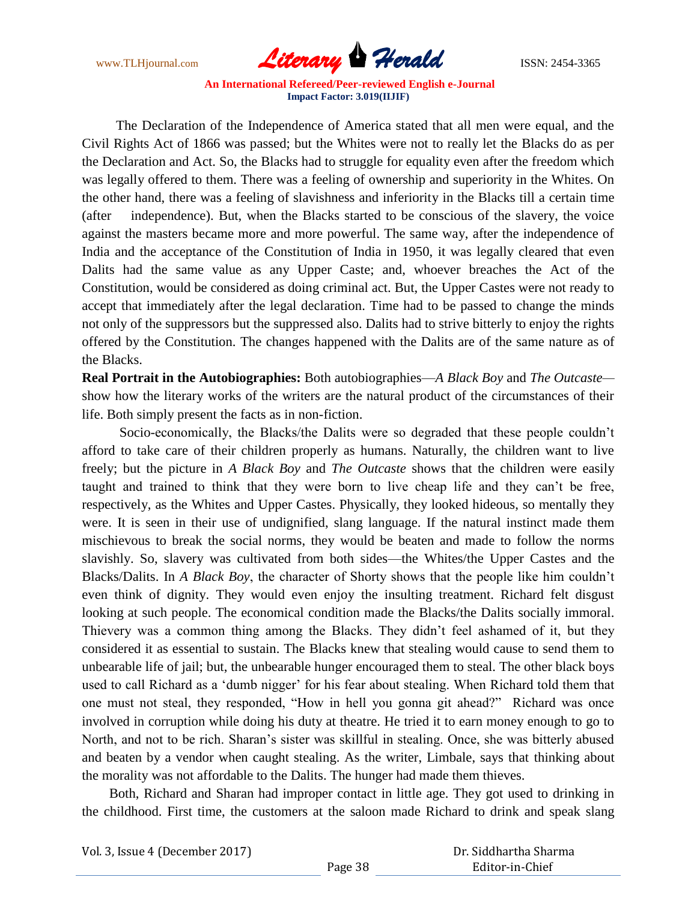

 The Declaration of the Independence of America stated that all men were equal, and the Civil Rights Act of 1866 was passed; but the Whites were not to really let the Blacks do as per the Declaration and Act. So, the Blacks had to struggle for equality even after the freedom which was legally offered to them. There was a feeling of ownership and superiority in the Whites. On the other hand, there was a feeling of slavishness and inferiority in the Blacks till a certain time (after independence). But, when the Blacks started to be conscious of the slavery, the voice against the masters became more and more powerful. The same way, after the independence of India and the acceptance of the Constitution of India in 1950, it was legally cleared that even Dalits had the same value as any Upper Caste; and, whoever breaches the Act of the Constitution, would be considered as doing criminal act. But, the Upper Castes were not ready to accept that immediately after the legal declaration. Time had to be passed to change the minds not only of the suppressors but the suppressed also. Dalits had to strive bitterly to enjoy the rights offered by the Constitution. The changes happened with the Dalits are of the same nature as of the Blacks.

**Real Portrait in the Autobiographies:** Both autobiographies—*A Black Boy* and *The Outcaste* show how the literary works of the writers are the natural product of the circumstances of their life. Both simply present the facts as in non-fiction.

 Socio-economically, the Blacks/the Dalits were so degraded that these people couldn"t afford to take care of their children properly as humans. Naturally, the children want to live freely; but the picture in *A Black Boy* and *The Outcaste* shows that the children were easily taught and trained to think that they were born to live cheap life and they can"t be free, respectively, as the Whites and Upper Castes. Physically, they looked hideous, so mentally they were. It is seen in their use of undignified, slang language. If the natural instinct made them mischievous to break the social norms, they would be beaten and made to follow the norms slavishly. So, slavery was cultivated from both sides—the Whites/the Upper Castes and the Blacks/Dalits. In *A Black Boy*, the character of Shorty shows that the people like him couldn"t even think of dignity. They would even enjoy the insulting treatment. Richard felt disgust looking at such people. The economical condition made the Blacks/the Dalits socially immoral. Thievery was a common thing among the Blacks. They didn"t feel ashamed of it, but they considered it as essential to sustain. The Blacks knew that stealing would cause to send them to unbearable life of jail; but, the unbearable hunger encouraged them to steal. The other black boys used to call Richard as a 'dumb nigger' for his fear about stealing. When Richard told them that one must not steal, they responded, "How in hell you gonna git ahead?" Richard was once involved in corruption while doing his duty at theatre. He tried it to earn money enough to go to North, and not to be rich. Sharan"s sister was skillful in stealing. Once, she was bitterly abused and beaten by a vendor when caught stealing. As the writer, Limbale, says that thinking about the morality was not affordable to the Dalits. The hunger had made them thieves.

 Both, Richard and Sharan had improper contact in little age. They got used to drinking in the childhood. First time, the customers at the saloon made Richard to drink and speak slang

Vol. 3, Issue 4 (December 2017)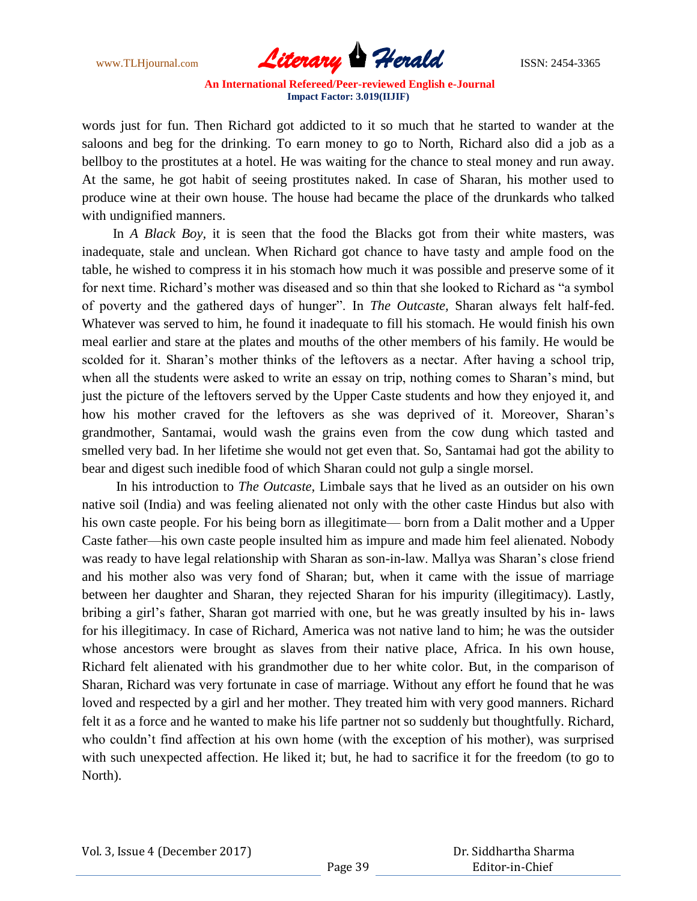

words just for fun. Then Richard got addicted to it so much that he started to wander at the saloons and beg for the drinking. To earn money to go to North, Richard also did a job as a bellboy to the prostitutes at a hotel. He was waiting for the chance to steal money and run away. At the same, he got habit of seeing prostitutes naked. In case of Sharan, his mother used to produce wine at their own house. The house had became the place of the drunkards who talked with undignified manners.

 In *A Black Boy,* it is seen that the food the Blacks got from their white masters, was inadequate, stale and unclean. When Richard got chance to have tasty and ample food on the table, he wished to compress it in his stomach how much it was possible and preserve some of it for next time. Richard"s mother was diseased and so thin that she looked to Richard as "a symbol of poverty and the gathered days of hunger". In *The Outcaste,* Sharan always felt half-fed. Whatever was served to him, he found it inadequate to fill his stomach. He would finish his own meal earlier and stare at the plates and mouths of the other members of his family. He would be scolded for it. Sharan's mother thinks of the leftovers as a nectar. After having a school trip, when all the students were asked to write an essay on trip, nothing comes to Sharan's mind, but just the picture of the leftovers served by the Upper Caste students and how they enjoyed it, and how his mother craved for the leftovers as she was deprived of it. Moreover, Sharan"s grandmother, Santamai, would wash the grains even from the cow dung which tasted and smelled very bad. In her lifetime she would not get even that. So, Santamai had got the ability to bear and digest such inedible food of which Sharan could not gulp a single morsel.

 In his introduction to *The Outcaste,* Limbale says that he lived as an outsider on his own native soil (India) and was feeling alienated not only with the other caste Hindus but also with his own caste people. For his being born as illegitimate— born from a Dalit mother and a Upper Caste father—his own caste people insulted him as impure and made him feel alienated. Nobody was ready to have legal relationship with Sharan as son-in-law. Mallya was Sharan"s close friend and his mother also was very fond of Sharan; but, when it came with the issue of marriage between her daughter and Sharan, they rejected Sharan for his impurity (illegitimacy). Lastly, bribing a girl"s father, Sharan got married with one, but he was greatly insulted by his in- laws for his illegitimacy. In case of Richard, America was not native land to him; he was the outsider whose ancestors were brought as slaves from their native place, Africa. In his own house, Richard felt alienated with his grandmother due to her white color. But, in the comparison of Sharan, Richard was very fortunate in case of marriage. Without any effort he found that he was loved and respected by a girl and her mother. They treated him with very good manners. Richard felt it as a force and he wanted to make his life partner not so suddenly but thoughtfully. Richard, who couldn't find affection at his own home (with the exception of his mother), was surprised with such unexpected affection. He liked it; but, he had to sacrifice it for the freedom (to go to North).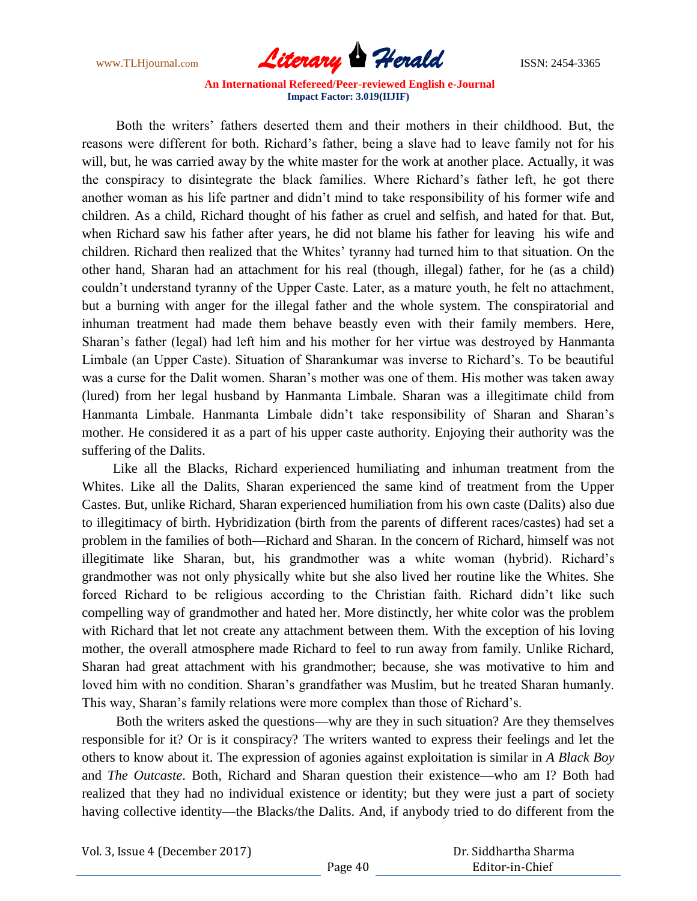

 Both the writers" fathers deserted them and their mothers in their childhood. But, the reasons were different for both. Richard"s father, being a slave had to leave family not for his will, but, he was carried away by the white master for the work at another place. Actually, it was the conspiracy to disintegrate the black families. Where Richard"s father left, he got there another woman as his life partner and didn"t mind to take responsibility of his former wife and children. As a child, Richard thought of his father as cruel and selfish, and hated for that. But, when Richard saw his father after years, he did not blame his father for leaving his wife and children. Richard then realized that the Whites" tyranny had turned him to that situation. On the other hand, Sharan had an attachment for his real (though, illegal) father, for he (as a child) couldn"t understand tyranny of the Upper Caste. Later, as a mature youth, he felt no attachment, but a burning with anger for the illegal father and the whole system. The conspiratorial and inhuman treatment had made them behave beastly even with their family members. Here, Sharan"s father (legal) had left him and his mother for her virtue was destroyed by Hanmanta Limbale (an Upper Caste). Situation of Sharankumar was inverse to Richard"s. To be beautiful was a curse for the Dalit women. Sharan"s mother was one of them. His mother was taken away (lured) from her legal husband by Hanmanta Limbale. Sharan was a illegitimate child from Hanmanta Limbale. Hanmanta Limbale didn"t take responsibility of Sharan and Sharan"s mother. He considered it as a part of his upper caste authority. Enjoying their authority was the suffering of the Dalits.

 Like all the Blacks, Richard experienced humiliating and inhuman treatment from the Whites. Like all the Dalits, Sharan experienced the same kind of treatment from the Upper Castes. But, unlike Richard, Sharan experienced humiliation from his own caste (Dalits) also due to illegitimacy of birth. Hybridization (birth from the parents of different races/castes) had set a problem in the families of both—Richard and Sharan. In the concern of Richard, himself was not illegitimate like Sharan, but, his grandmother was a white woman (hybrid). Richard"s grandmother was not only physically white but she also lived her routine like the Whites. She forced Richard to be religious according to the Christian faith. Richard didn"t like such compelling way of grandmother and hated her. More distinctly, her white color was the problem with Richard that let not create any attachment between them. With the exception of his loving mother, the overall atmosphere made Richard to feel to run away from family. Unlike Richard, Sharan had great attachment with his grandmother; because, she was motivative to him and loved him with no condition. Sharan's grandfather was Muslim, but he treated Sharan humanly. This way, Sharan's family relations were more complex than those of Richard's.

 Both the writers asked the questions—why are they in such situation? Are they themselves responsible for it? Or is it conspiracy? The writers wanted to express their feelings and let the others to know about it. The expression of agonies against exploitation is similar in *A Black Boy* and *The Outcaste*. Both, Richard and Sharan question their existence—who am I? Both had realized that they had no individual existence or identity; but they were just a part of society having collective identity—the Blacks/the Dalits. And, if anybody tried to do different from the

| Vol. 3, Issue 4 (December 2017) |  |  |
|---------------------------------|--|--|
|---------------------------------|--|--|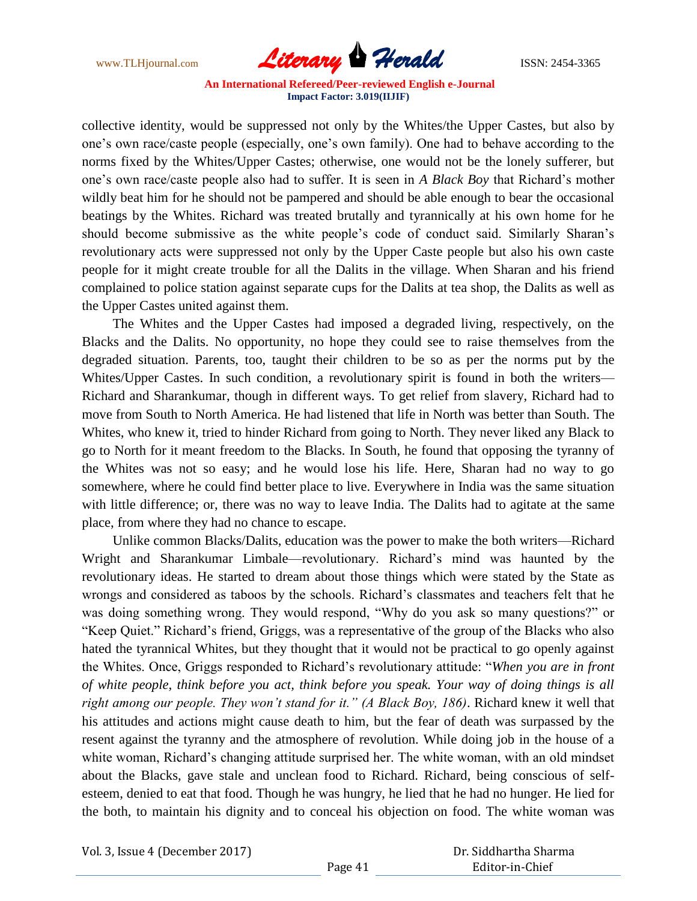www.TLHjournal.com **Literary Herald Herald** ISSN: 2454-3365

collective identity, would be suppressed not only by the Whites/the Upper Castes, but also by one"s own race/caste people (especially, one"s own family). One had to behave according to the norms fixed by the Whites/Upper Castes; otherwise, one would not be the lonely sufferer, but one"s own race/caste people also had to suffer. It is seen in *A Black Boy* that Richard"s mother wildly beat him for he should not be pampered and should be able enough to bear the occasional beatings by the Whites. Richard was treated brutally and tyrannically at his own home for he should become submissive as the white people's code of conduct said. Similarly Sharan's revolutionary acts were suppressed not only by the Upper Caste people but also his own caste people for it might create trouble for all the Dalits in the village. When Sharan and his friend complained to police station against separate cups for the Dalits at tea shop, the Dalits as well as the Upper Castes united against them.

 The Whites and the Upper Castes had imposed a degraded living, respectively, on the Blacks and the Dalits. No opportunity, no hope they could see to raise themselves from the degraded situation. Parents, too, taught their children to be so as per the norms put by the Whites/Upper Castes. In such condition, a revolutionary spirit is found in both the writers— Richard and Sharankumar, though in different ways. To get relief from slavery, Richard had to move from South to North America. He had listened that life in North was better than South. The Whites, who knew it, tried to hinder Richard from going to North. They never liked any Black to go to North for it meant freedom to the Blacks. In South, he found that opposing the tyranny of the Whites was not so easy; and he would lose his life. Here, Sharan had no way to go somewhere, where he could find better place to live. Everywhere in India was the same situation with little difference; or, there was no way to leave India. The Dalits had to agitate at the same place, from where they had no chance to escape.

 Unlike common Blacks/Dalits, education was the power to make the both writers—Richard Wright and Sharankumar Limbale—revolutionary. Richard"s mind was haunted by the revolutionary ideas. He started to dream about those things which were stated by the State as wrongs and considered as taboos by the schools. Richard"s classmates and teachers felt that he was doing something wrong. They would respond, "Why do you ask so many questions?" or "Keep Quiet." Richard"s friend, Griggs, was a representative of the group of the Blacks who also hated the tyrannical Whites, but they thought that it would not be practical to go openly against the Whites. Once, Griggs responded to Richard"s revolutionary attitude: "*When you are in front of white people, think before you act, think before you speak. Your way of doing things is all right among our people. They won"t stand for it." (A Black Boy, 186)*. Richard knew it well that his attitudes and actions might cause death to him, but the fear of death was surpassed by the resent against the tyranny and the atmosphere of revolution. While doing job in the house of a white woman, Richard's changing attitude surprised her. The white woman, with an old mindset about the Blacks, gave stale and unclean food to Richard. Richard, being conscious of selfesteem, denied to eat that food. Though he was hungry, he lied that he had no hunger. He lied for the both, to maintain his dignity and to conceal his objection on food. The white woman was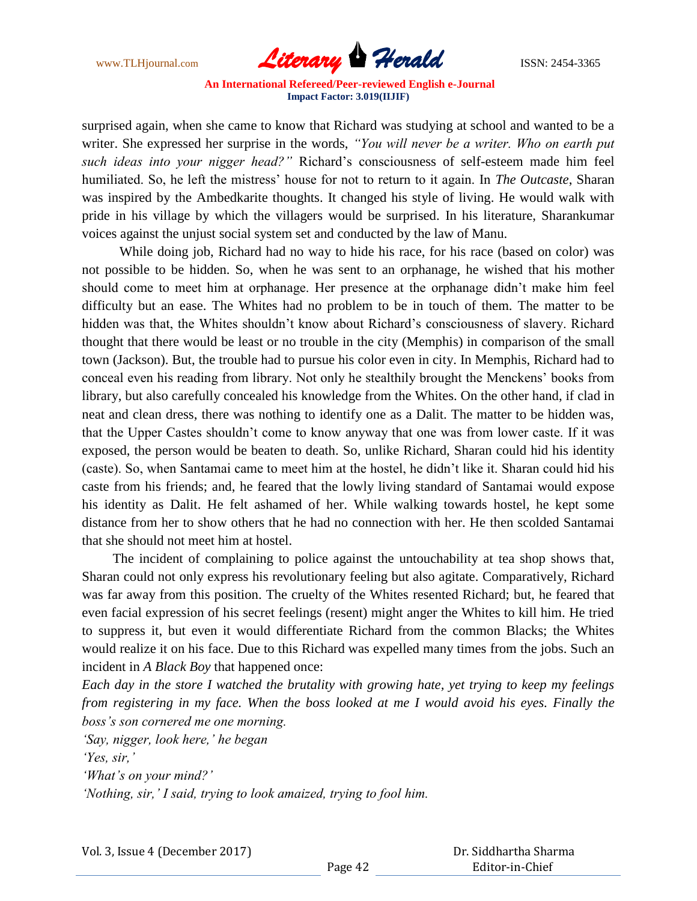

surprised again, when she came to know that Richard was studying at school and wanted to be a writer. She expressed her surprise in the words, *"You will never be a writer. Who on earth put such ideas into your nigger head?"* Richard"s consciousness of self-esteem made him feel humiliated. So, he left the mistress" house for not to return to it again. In *The Outcaste*, Sharan was inspired by the Ambedkarite thoughts. It changed his style of living. He would walk with pride in his village by which the villagers would be surprised. In his literature, Sharankumar voices against the unjust social system set and conducted by the law of Manu.

 While doing job, Richard had no way to hide his race, for his race (based on color) was not possible to be hidden. So, when he was sent to an orphanage, he wished that his mother should come to meet him at orphanage. Her presence at the orphanage didn"t make him feel difficulty but an ease. The Whites had no problem to be in touch of them. The matter to be hidden was that, the Whites shouldn't know about Richard's consciousness of slavery. Richard thought that there would be least or no trouble in the city (Memphis) in comparison of the small town (Jackson). But, the trouble had to pursue his color even in city. In Memphis, Richard had to conceal even his reading from library. Not only he stealthily brought the Menckens" books from library, but also carefully concealed his knowledge from the Whites. On the other hand, if clad in neat and clean dress, there was nothing to identify one as a Dalit. The matter to be hidden was, that the Upper Castes shouldn"t come to know anyway that one was from lower caste. If it was exposed, the person would be beaten to death. So, unlike Richard, Sharan could hid his identity (caste). So, when Santamai came to meet him at the hostel, he didn"t like it. Sharan could hid his caste from his friends; and, he feared that the lowly living standard of Santamai would expose his identity as Dalit. He felt ashamed of her. While walking towards hostel, he kept some distance from her to show others that he had no connection with her. He then scolded Santamai that she should not meet him at hostel.

 The incident of complaining to police against the untouchability at tea shop shows that, Sharan could not only express his revolutionary feeling but also agitate. Comparatively, Richard was far away from this position. The cruelty of the Whites resented Richard; but, he feared that even facial expression of his secret feelings (resent) might anger the Whites to kill him. He tried to suppress it, but even it would differentiate Richard from the common Blacks; the Whites would realize it on his face. Due to this Richard was expelled many times from the jobs. Such an incident in *A Black Boy* that happened once:

*Each day in the store I watched the brutality with growing hate, yet trying to keep my feelings from registering in my face. When the boss looked at me I would avoid his eyes. Finally the boss"s son cornered me one morning.*

*"Say, nigger, look here," he began*

*"Yes, sir,"*

*"What"s on your mind?"*

*"Nothing, sir," I said, trying to look amaized, trying to fool him.*

Vol. 3, Issue 4 (December 2017)

 Dr. Siddhartha Sharma Editor-in-Chief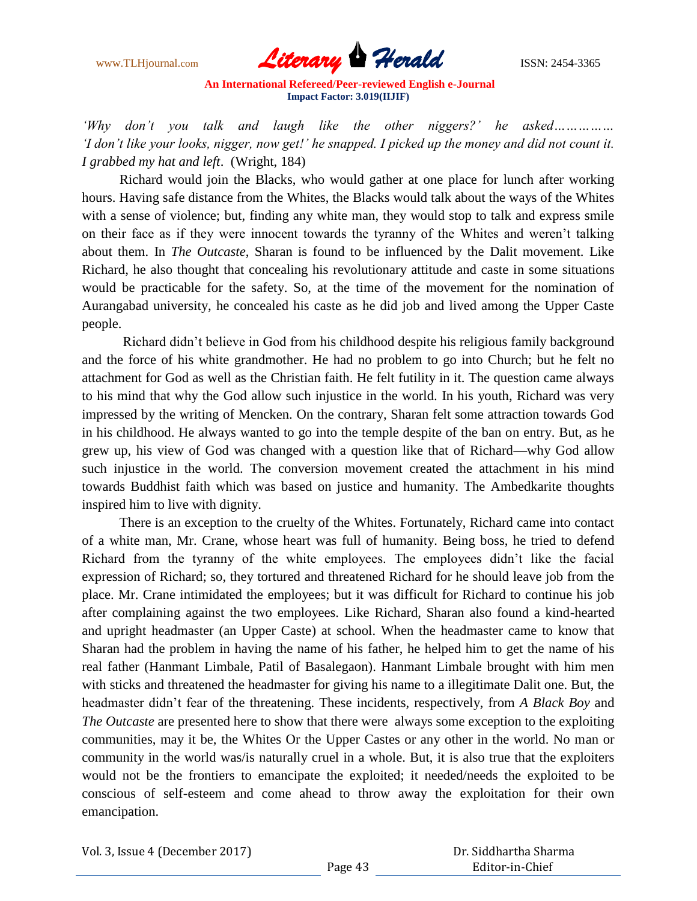

*"Why don"t you talk and laugh like the other niggers?" he asked…………… "I don"t like your looks, nigger, now get!" he snapped. I picked up the money and did not count it. I grabbed my hat and left*. (Wright, 184)

 Richard would join the Blacks, who would gather at one place for lunch after working hours. Having safe distance from the Whites, the Blacks would talk about the ways of the Whites with a sense of violence; but, finding any white man, they would stop to talk and express smile on their face as if they were innocent towards the tyranny of the Whites and weren"t talking about them. In *The Outcaste*, Sharan is found to be influenced by the Dalit movement. Like Richard, he also thought that concealing his revolutionary attitude and caste in some situations would be practicable for the safety. So, at the time of the movement for the nomination of Aurangabad university, he concealed his caste as he did job and lived among the Upper Caste people.

Richard didn"t believe in God from his childhood despite his religious family background and the force of his white grandmother. He had no problem to go into Church; but he felt no attachment for God as well as the Christian faith. He felt futility in it. The question came always to his mind that why the God allow such injustice in the world. In his youth, Richard was very impressed by the writing of Mencken. On the contrary, Sharan felt some attraction towards God in his childhood. He always wanted to go into the temple despite of the ban on entry. But, as he grew up, his view of God was changed with a question like that of Richard—why God allow such injustice in the world. The conversion movement created the attachment in his mind towards Buddhist faith which was based on justice and humanity. The Ambedkarite thoughts inspired him to live with dignity.

 There is an exception to the cruelty of the Whites. Fortunately, Richard came into contact of a white man, Mr. Crane, whose heart was full of humanity. Being boss, he tried to defend Richard from the tyranny of the white employees. The employees didn"t like the facial expression of Richard; so, they tortured and threatened Richard for he should leave job from the place. Mr. Crane intimidated the employees; but it was difficult for Richard to continue his job after complaining against the two employees. Like Richard, Sharan also found a kind-hearted and upright headmaster (an Upper Caste) at school. When the headmaster came to know that Sharan had the problem in having the name of his father, he helped him to get the name of his real father (Hanmant Limbale, Patil of Basalegaon). Hanmant Limbale brought with him men with sticks and threatened the headmaster for giving his name to a illegitimate Dalit one. But, the headmaster didn"t fear of the threatening. These incidents, respectively, from *A Black Boy* and *The Outcaste* are presented here to show that there were always some exception to the exploiting communities, may it be, the Whites Or the Upper Castes or any other in the world. No man or community in the world was/is naturally cruel in a whole. But, it is also true that the exploiters would not be the frontiers to emancipate the exploited; it needed/needs the exploited to be conscious of self-esteem and come ahead to throw away the exploitation for their own emancipation.